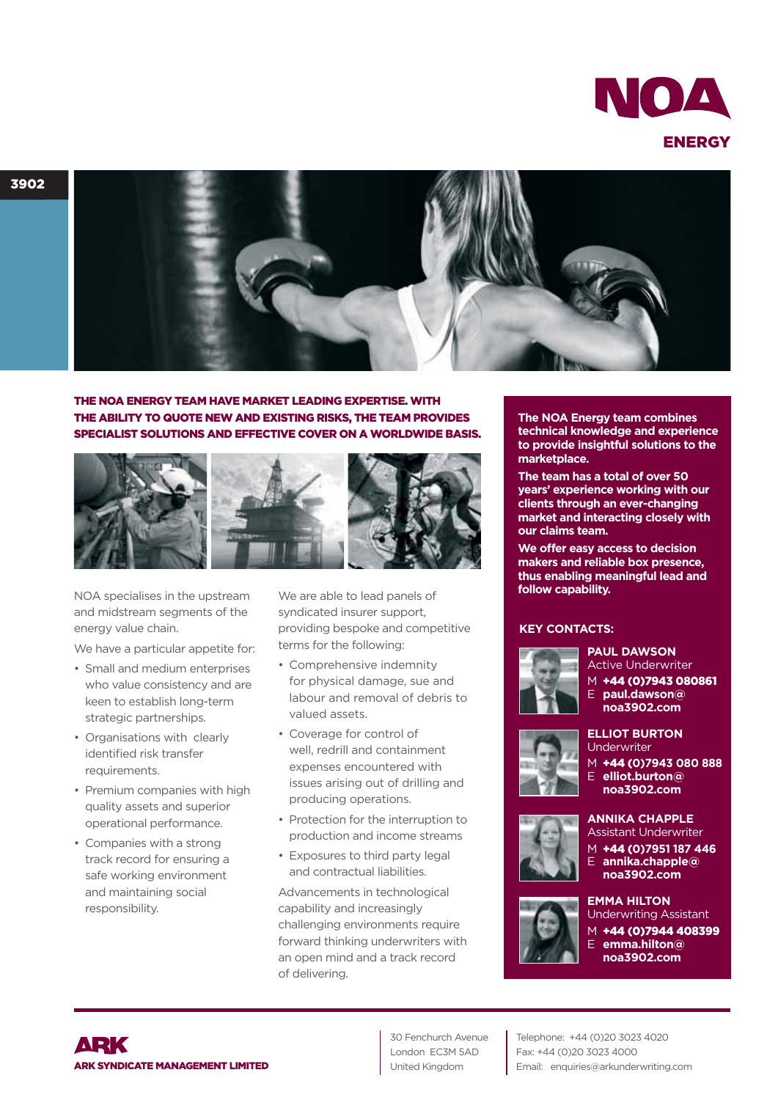



THE NOA ENERGY TEAM HAVE MARKET LEADING EXPERTISE. WITH THE ABILITY TO QUOTE NEW AND EXISTING RISKS, THE TEAM PROVIDES SPECIALIST SOLUTIONS AND EFFECTIVE COVER ON A WORLDWIDE BASIS.



NOA specialises in the upstream and midstream segments of the energy value chain.

We have a particular appetite for:

- Small and medium enterprises who value consistency and are keen to establish long-term strategic partnerships.
- Organisations with clearly identified risk transfer requirements.
- Premium companies with high quality assets and superior operational performance.
- Companies with a strong track record for ensuring a safe working environment and maintaining social responsibility.

We are able to lead panels of syndicated insurer support, providing bespoke and competitive terms for the following:

- Comprehensive indemnity for physical damage, sue and labour and removal of debris to valued assets.
- Coverage for control of well, redrill and containment expenses encountered with issues arising out of drilling and producing operations.
- Protection for the interruption to production and income streams
- Exposures to third party legal and contractual liabilities.

Advancements in technological capability and increasingly challenging environments require forward thinking underwriters with an open mind and a track record of delivering.

**The NOA Energy team combines technical knowledge and experience to provide insightful solutions to the marketplace.**

**The team has a total of over 50 years' experience working with our clients through an ever-changing market and interacting closely with our claims team.**

**We offer easy access to decision makers and reliable box presence, thus enabling meaningful lead and follow capability.**

## **KEY CONTACTS:**



**PAUL DAWSON** Active Underwriter

 $\overline{M}$  +44 (0)7943 080861 E **paul.dawson@ noa3902.com**

## **ELLIOT BURTON** Underwriter

- 
- M +44 (**0)7943 080 888** E **elliot.burton@ noa3902.com**



## **ANNIKA CHAPPLE** Assistant Underwriter

M +44 (**0)7951 187 446** E **annika.chapple@**

## **noa3902.com EMMA HILTON**



Underwriting Assistant +44 (0)7944 408399

E **emma.hilton@ noa3902.com**



30 Fenchurch Avenue London EC3M 5AD United Kingdom

Telephone: +44 (0)20 3023 4020 Fax: +44 (0)20 3023 4000 Email: enquiries@arkunderwriting.com